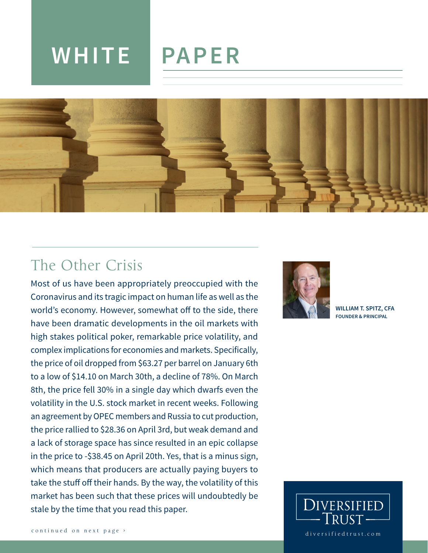# **WHITE PAPER**



# The Other Crisis

Most of us have been appropriately preoccupied with the Coronavirus and its tragic impact on human life as well as the world's economy. However, somewhat off to the side, there have been dramatic developments in the oil markets with high stakes political poker, remarkable price volatility, and complex implications for economies and markets. Specifically, the price of oil dropped from \$63.27 per barrel on January 6th to a low of \$14.10 on March 30th, a decline of 78%. On March 8th, the price fell 30% in a single day which dwarfs even the volatility in the U.S. stock market in recent weeks. Following an agreement by OPEC members and Russia to cut production, the price rallied to \$28.36 on April 3rd, but weak demand and a lack of storage space has since resulted in an epic collapse in the price to -\$38.45 on April 20th. Yes, that is a minus sign, which means that producers are actually paying buyers to take the stuff off their hands. By the way, the volatility of this market has been such that these prices will undoubtedly be stale by the time that you read this paper.



**WILLIAM T. SPITZ, CFA FOUNDER & PRINCIPAL**

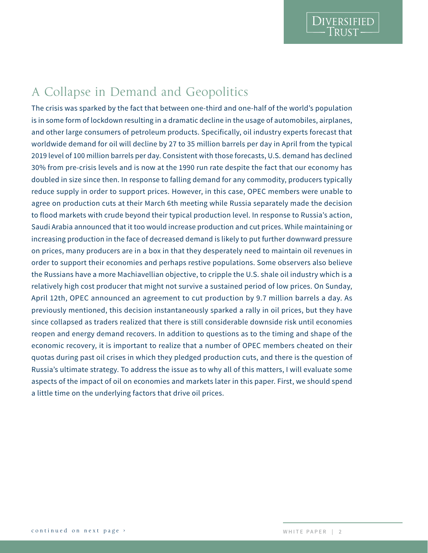# A Collapse in Demand and Geopolitics

The crisis was sparked by the fact that between one-third and one-half of the world's population is in some form of lockdown resulting in a dramatic decline in the usage of automobiles, airplanes, and other large consumers of petroleum products. Specifically, oil industry experts forecast that worldwide demand for oil will decline by 27 to 35 million barrels per day in April from the typical 2019 level of 100 million barrels per day. Consistent with those forecasts, U.S. demand has declined 30% from pre-crisis levels and is now at the 1990 run rate despite the fact that our economy has doubled in size since then. In response to falling demand for any commodity, producers typically reduce supply in order to support prices. However, in this case, OPEC members were unable to agree on production cuts at their March 6th meeting while Russia separately made the decision to flood markets with crude beyond their typical production level. In response to Russia's action, Saudi Arabia announced that it too would increase production and cut prices. While maintaining or increasing production in the face of decreased demand is likely to put further downward pressure on prices, many producers are in a box in that they desperately need to maintain oil revenues in order to support their economies and perhaps restive populations. Some observers also believe the Russians have a more Machiavellian objective, to cripple the U.S. shale oil industry which is a relatively high cost producer that might not survive a sustained period of low prices. On Sunday, April 12th, OPEC announced an agreement to cut production by 9.7 million barrels a day. As previously mentioned, this decision instantaneously sparked a rally in oil prices, but they have since collapsed as traders realized that there is still considerable downside risk until economies reopen and energy demand recovers. In addition to questions as to the timing and shape of the economic recovery, it is important to realize that a number of OPEC members cheated on their quotas during past oil crises in which they pledged production cuts, and there is the question of Russia's ultimate strategy. To address the issue as to why all of this matters, I will evaluate some aspects of the impact of oil on economies and markets later in this paper. First, we should spend a little time on the underlying factors that drive oil prices.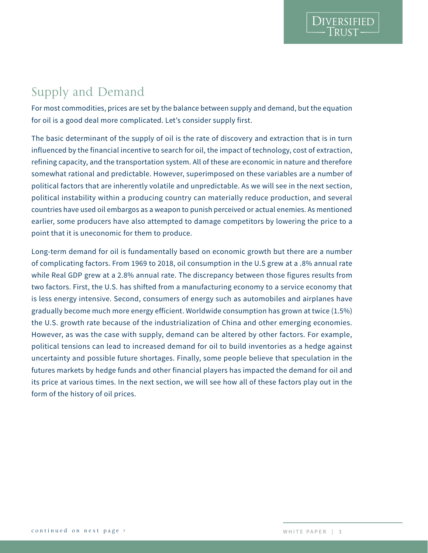**DIVERSIFIED** 

## Supply and Demand

For most commodities, prices are set by the balance between supply and demand, but the equation for oil is a good deal more complicated. Let's consider supply first.

The basic determinant of the supply of oil is the rate of discovery and extraction that is in turn influenced by the financial incentive to search for oil, the impact of technology, cost of extraction, refining capacity, and the transportation system. All of these are economic in nature and therefore somewhat rational and predictable. However, superimposed on these variables are a number of political factors that are inherently volatile and unpredictable. As we will see in the next section, political instability within a producing country can materially reduce production, and several countries have used oil embargos as a weapon to punish perceived or actual enemies. As mentioned earlier, some producers have also attempted to damage competitors by lowering the price to a point that it is uneconomic for them to produce.

Long-term demand for oil is fundamentally based on economic growth but there are a number of complicating factors. From 1969 to 2018, oil consumption in the U.S grew at a .8% annual rate while Real GDP grew at a 2.8% annual rate. The discrepancy between those figures results from two factors. First, the U.S. has shifted from a manufacturing economy to a service economy that is less energy intensive. Second, consumers of energy such as automobiles and airplanes have gradually become much more energy efficient. Worldwide consumption has grown at twice (1.5%) the U.S. growth rate because of the industrialization of China and other emerging economies. However, as was the case with supply, demand can be altered by other factors. For example, political tensions can lead to increased demand for oil to build inventories as a hedge against uncertainty and possible future shortages. Finally, some people believe that speculation in the futures markets by hedge funds and other financial players has impacted the demand for oil and its price at various times. In the next section, we will see how all of these factors play out in the form of the history of oil prices.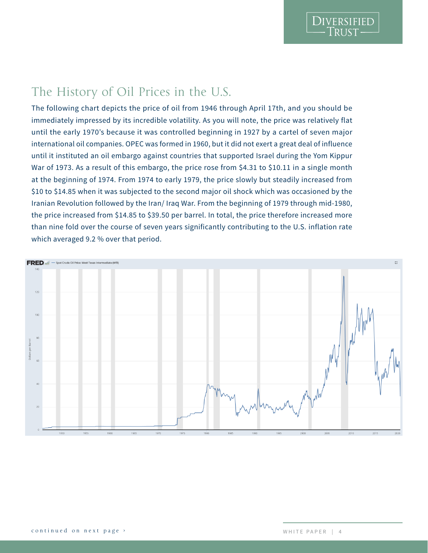DIVERSIFIED

### The History of Oil Prices in the U.S.

The following chart depicts the price of oil from 1946 through April 17th, and you should be immediately impressed by its incredible volatility. As you will note, the price was relatively flat until the early 1970's because it was controlled beginning in 1927 by a cartel of seven major international oil companies. OPEC was formed in 1960, but it did not exert a great deal of influence until it instituted an oil embargo against countries that supported Israel during the Yom Kippur War of 1973. As a result of this embargo, the price rose from \$4.31 to \$10.11 in a single month at the beginning of 1974. From 1974 to early 1979, the price slowly but steadily increased from \$10 to \$14.85 when it was subjected to the second major oil shock which was occasioned by the Iranian Revolution followed by the Iran/ Iraq War. From the beginning of 1979 through mid-1980, the price increased from \$14.85 to \$39.50 per barrel. In total, the price therefore increased more than nine fold over the course of seven years significantly contributing to the U.S. inflation rate which averaged 9.2 % over that period.

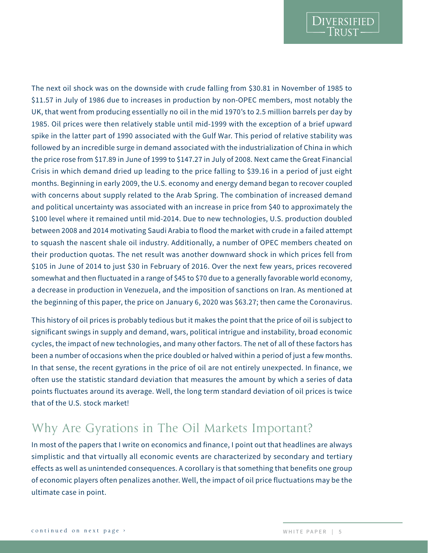The next oil shock was on the downside with crude falling from \$30.81 in November of 1985 to \$11.57 in July of 1986 due to increases in production by non-OPEC members, most notably the UK, that went from producing essentially no oil in the mid 1970's to 2.5 million barrels per day by 1985. Oil prices were then relatively stable until mid-1999 with the exception of a brief upward spike in the latter part of 1990 associated with the Gulf War. This period of relative stability was followed by an incredible surge in demand associated with the industrialization of China in which the price rose from \$17.89 in June of 1999 to \$147.27 in July of 2008. Next came the Great Financial Crisis in which demand dried up leading to the price falling to \$39.16 in a period of just eight months. Beginning in early 2009, the U.S. economy and energy demand began to recover coupled with concerns about supply related to the Arab Spring. The combination of increased demand and political uncertainty was associated with an increase in price from \$40 to approximately the \$100 level where it remained until mid-2014. Due to new technologies, U.S. production doubled between 2008 and 2014 motivating Saudi Arabia to flood the market with crude in a failed attempt to squash the nascent shale oil industry. Additionally, a number of OPEC members cheated on their production quotas. The net result was another downward shock in which prices fell from \$105 in June of 2014 to just \$30 in February of 2016. Over the next few years, prices recovered somewhat and then fluctuated in a range of \$45 to \$70 due to a generally favorable world economy, a decrease in production in Venezuela, and the imposition of sanctions on Iran. As mentioned at the beginning of this paper, the price on January 6, 2020 was \$63.27; then came the Coronavirus.

This history of oil prices is probably tedious but it makes the point that the price of oil is subject to significant swings in supply and demand, wars, political intrigue and instability, broad economic cycles, the impact of new technologies, and many other factors. The net of all of these factors has been a number of occasions when the price doubled or halved within a period of just a few months. In that sense, the recent gyrations in the price of oil are not entirely unexpected. In finance, we often use the statistic standard deviation that measures the amount by which a series of data points fluctuates around its average. Well, the long term standard deviation of oil prices is twice that of the U.S. stock market!

### Why Are Gyrations in The Oil Markets Important?

In most of the papers that I write on economics and finance, I point out that headlines are always simplistic and that virtually all economic events are characterized by secondary and tertiary effects as well as unintended consequences. A corollary is that something that benefits one group of economic players often penalizes another. Well, the impact of oil price fluctuations may be the ultimate case in point.

DIVERSIFIED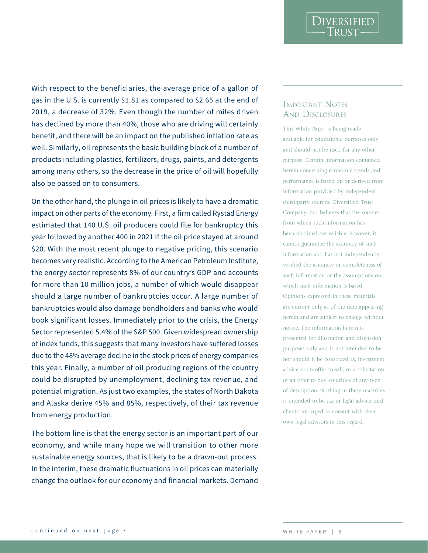With respect to the beneficiaries, the average price of a gallon of gas in the U.S. is currently \$1.81 as compared to \$2.65 at the end of 2019, a decrease of 32%. Even though the number of miles driven has declined by more than 40%, those who are driving will certainly benefit, and there will be an impact on the published inflation rate as well. Similarly, oil represents the basic building block of a number of products including plastics, fertilizers, drugs, paints, and detergents among many others, so the decrease in the price of oil will hopefully also be passed on to consumers.

On the other hand, the plunge in oil prices is likely to have a dramatic impact on other parts of the economy. First, a firm called Rystad Energy estimated that 140 U.S. oil producers could file for bankruptcy this year followed by another 400 in 2021 if the oil price stayed at around \$20. With the most recent plunge to negative pricing, this scenario becomes very realistic. According to the American Petroleum Institute, the energy sector represents 8% of our country's GDP and accounts for more than 10 million jobs, a number of which would disappear should a large number of bankruptcies occur. A large number of bankruptcies would also damage bondholders and banks who would book significant losses. Immediately prior to the crisis, the Energy Sector represented 5.4% of the S&P 500. Given widespread ownership of index funds, this suggests that many investors have suffered losses due to the 48% average decline in the stock prices of energy companies this year. Finally, a number of oil producing regions of the country could be disrupted by unemployment, declining tax revenue, and potential migration. As just two examples, the states of North Dakota and Alaska derive 45% and 85%, respectively, of their tax revenue from energy production. continued on the means of the continue of vectors and the continue of the method is a continued of the continued of the continued of the method is a method of the method of the continued of the method is a method of the co

The bottom line is that the energy sector is an important part of our economy, and while many hope we will transition to other more sustainable energy sources, that is likely to be a drawn-out process. In the interim, these dramatic fluctuations in oil prices can materially change the outlook for our economy and financial markets. Demand

# AND DISCLOSURES

This White Paper is being made available for educational purposes only and should not be used for any other purpose. Certain information contained herein concerning economic trends and performance is based on or derived from information provided by independent third-party sources. Diversified Trust Company, Inc. believes that the sources from which such information has been obtained are reliable; however, it cannot guarantee the accuracy of such information and has not independently verified the accuracy or completeness of such information or the assumptions on which such information is based. Opinions expressed in these materials are current only as of the date appearing herein and are subject to change without notice. The information herein is presented for illustration and discussion purposes only and is not intended to be, nor should it be construed as, investment advice or an offer to sell, or a solicitation of an offer to buy securities of any type of description. Nothing in these materials is intended to be tax or legal advice, and clients are urged to consult with their own legal advisors in this regard.